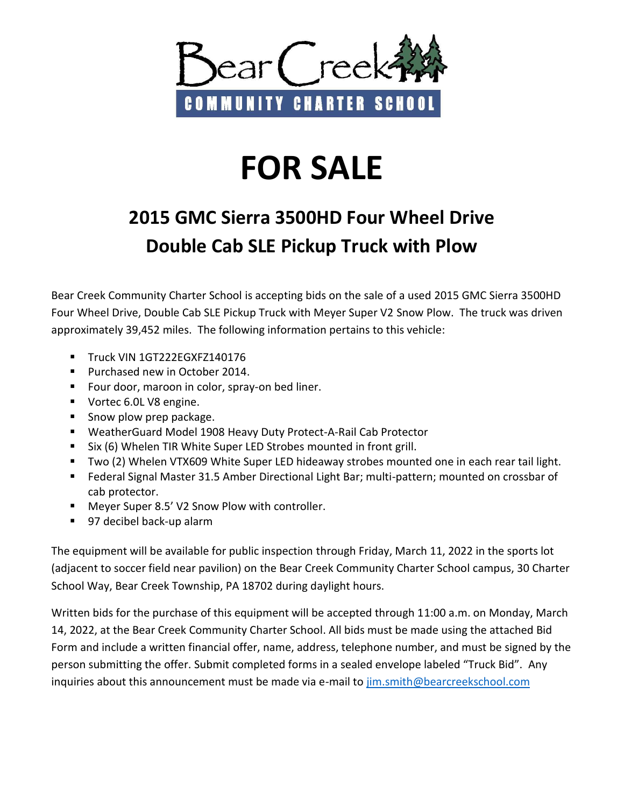

## **FOR SALE**

## **2015 GMC Sierra 3500HD Four Wheel Drive Double Cab SLE Pickup Truck with Plow**

Bear Creek Community Charter School is accepting bids on the sale of a used 2015 GMC Sierra 3500HD Four Wheel Drive, Double Cab SLE Pickup Truck with Meyer Super V2 Snow Plow. The truck was driven approximately 39,452 miles. The following information pertains to this vehicle:

- Truck VIN 1GT222EGXFZ140176
- **Purchased new in October 2014.**
- **Four door, maroon in color, spray-on bed liner.**
- Vortec 6.0L V8 engine.
- Snow plow prep package.
- WeatherGuard Model 1908 Heavy Duty Protect-A-Rail Cab Protector
- Six (6) Whelen TIR White Super LED Strobes mounted in front grill.
- **Two (2) Whelen VTX609 White Super LED hideaway strobes mounted one in each rear tail light.**
- Federal Signal Master 31.5 Amber Directional Light Bar; multi-pattern; mounted on crossbar of cab protector.
- Meyer Super 8.5' V2 Snow Plow with controller.
- 97 decibel back-up alarm

The equipment will be available for public inspection through Friday, March 11, 2022 in the sports lot (adjacent to soccer field near pavilion) on the Bear Creek Community Charter School campus, 30 Charter School Way, Bear Creek Township, PA 18702 during daylight hours.

Written bids for the purchase of this equipment will be accepted through 11:00 a.m. on Monday, March 14, 2022, at the Bear Creek Community Charter School. All bids must be made using the attached Bid Form and include a written financial offer, name, address, telephone number, and must be signed by the person submitting the offer. Submit completed forms in a sealed envelope labeled "Truck Bid". Any inquiries about this announcement must be made via e-mail to [jim.smith@bearcreekschool.com](mailto:jim.smith@bearcreekschool.com)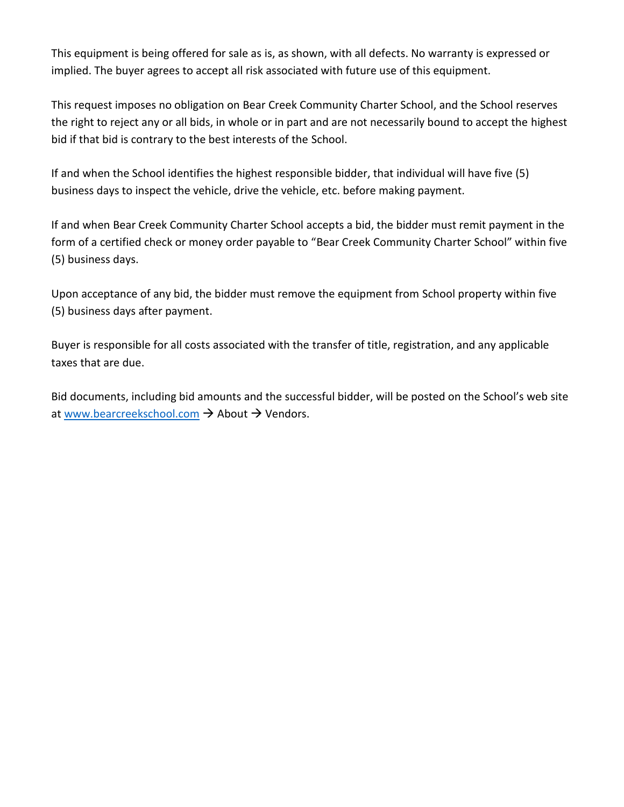This equipment is being offered for sale as is, as shown, with all defects. No warranty is expressed or implied. The buyer agrees to accept all risk associated with future use of this equipment.

This request imposes no obligation on Bear Creek Community Charter School, and the School reserves the right to reject any or all bids, in whole or in part and are not necessarily bound to accept the highest bid if that bid is contrary to the best interests of the School.

If and when the School identifies the highest responsible bidder, that individual will have five (5) business days to inspect the vehicle, drive the vehicle, etc. before making payment.

If and when Bear Creek Community Charter School accepts a bid, the bidder must remit payment in the form of a certified check or money order payable to "Bear Creek Community Charter School" within five (5) business days.

Upon acceptance of any bid, the bidder must remove the equipment from School property within five (5) business days after payment.

Buyer is responsible for all costs associated with the transfer of title, registration, and any applicable taxes that are due.

Bid documents, including bid amounts and the successful bidder, will be posted on the School's web site at [www.bearcreekschool.com](http://www.bearcreekschool.com/)  $\rightarrow$  About  $\rightarrow$  Vendors.